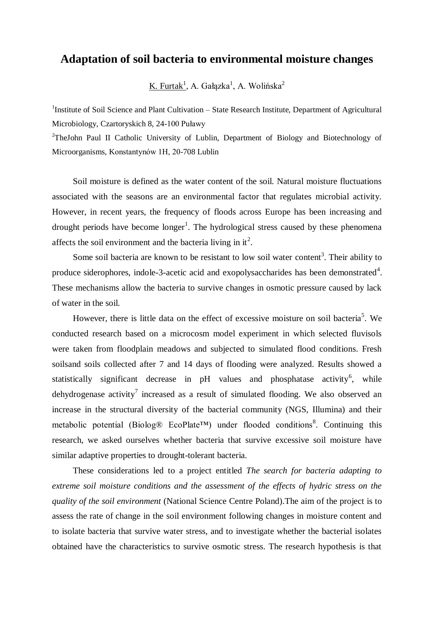## **Adaptation of soil bacteria to environmental moisture changes**

K. Furtak<sup>1</sup>, A. Gałązka<sup>1</sup>, A. Wolińska<sup>2</sup>

<sup>1</sup>Institute of Soil Science and Plant Cultivation – State Research Institute, Department of Agricultural Microbiology, Czartoryskich 8, 24-100 Puławy

<sup>2</sup>TheJohn Paul II Catholic University of Lublin, Department of Biology and Biotechnology of Microorganisms, Konstantynów 1H, 20-708 Lublin

Soil moisture is defined as the water content of the soil. Natural moisture fluctuations associated with the seasons are an environmental factor that regulates microbial activity. However, in recent years, the frequency of floods across Europe has been increasing and drought periods have become longer<sup>1</sup>. The hydrological stress caused by these phenomena affects the soil environment and the bacteria living in it<sup>2</sup>.

Some soil bacteria are known to be resistant to low soil water content<sup>3</sup>. Their ability to produce siderophores, indole-3-acetic acid and exopolysaccharides has been demonstrated<sup>4</sup>. These mechanisms allow the bacteria to survive changes in osmotic pressure caused by lack of water in the soil.

However, there is little data on the effect of excessive moisture on soil bacteria<sup>5</sup>. We conducted research based on a microcosm model experiment in which selected fluvisols were taken from floodplain meadows and subjected to simulated flood conditions. Fresh soilsand soils collected after 7 and 14 days of flooding were analyzed. Results showed a statistically significant decrease in  $pH$  values and phosphatase activity<sup>6</sup>, while dehydrogenase activity<sup>7</sup> increased as a result of simulated flooding. We also observed an increase in the structural diversity of the bacterial community (NGS, Illumina) and their metabolic potential (Biolog® EcoPlate™) under flooded conditions<sup>8</sup>. Continuing this research, we asked ourselves whether bacteria that survive excessive soil moisture have similar adaptive properties to drought-tolerant bacteria.

These considerations led to a project entitled *The search for bacteria adapting to extreme soil moisture conditions and the assessment of the effects of hydric stress on the quality of the soil environment* (National Science Centre Poland).The aim of the project is to assess the rate of change in the soil environment following changes in moisture content and to isolate bacteria that survive water stress, and to investigate whether the bacterial isolates obtained have the characteristics to survive osmotic stress. The research hypothesis is that